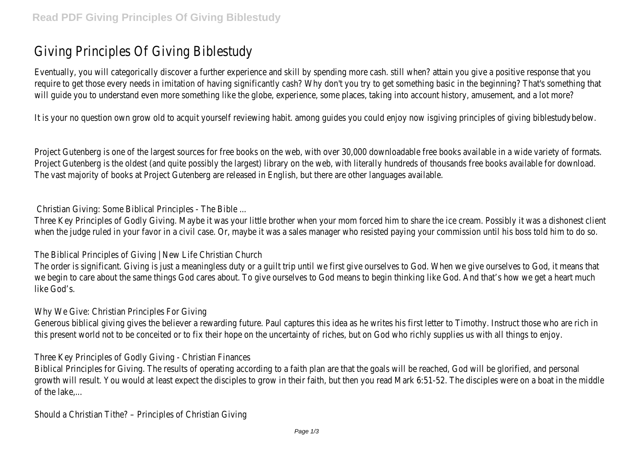# Giving Principles Of Giving Biblestudy

Eventually, you will categorically discover a further experience and skill by spending more cash. still when? attain you give a positive response that you require to get those every needs in imitation of having significantly cash? Why don't you try to get something basic in the beginning? That's something that will quide you to understand even more something like the globe, experience, some places, taking into account history, amusement, and a lot more?

It is your no question own grow old to acquit yourself reviewing habit, among quides you could enjoy now is giving principles of giving biblestudy below.

Project Gutenberg is one of the largest sources for free books on the web, with over 30,000 downloadable free books available in a wide variety of formats. Project Gutenberg is the oldest (and quite possibly the largest) library on the web, with literally hundreds of thousands free books available for download. The vast majority of books at Project Gutenberg are released in English, but there are other languages available.

Christian Giving: Some Biblical Principles - The Bible ...

Three Key Principles of Godly Giving. Maybe it was your little brother when your mom forced him to share the ice cream. Possibly it was a dishonest client when the judge ruled in your favor in a civil case. Or, maybe it was a sales manager who resisted paying your commission until his boss told him to do so.

The Biblical Principles of Giving | New Life Christian Church

The order is significant. Giving is just a meaningless duty or a quilt trip until we first give ourselves to God. When we give ourselves to God, it means that we begin to care about the same things God cares about. To give ourselves to God means to begin thinking like God. And that's how we get a heart much like God's.

# Why We Give: Christian Principles For Giving

Generous biblical giving gives the believer a rewarding future. Paul captures this idea as he writes his first letter to Timothy. Instruct those who are rich in this present world not to be conceited or to fix their hope on the uncertainty of riches, but on God who richly supplies us with all things to enjoy.

Three Key Principles of Godly Giving - Christian Finances

Biblical Principles for Giving. The results of operating according to a faith plan are that the goals will be reached, God will be glorified, and personal growth will result. You would at least expect the disciples to grow in their faith, but then you read Mark 6:51-52. The disciples were on a boat in the middle of the lake....

Should a Christian Tithe? – Principles of Christian Giving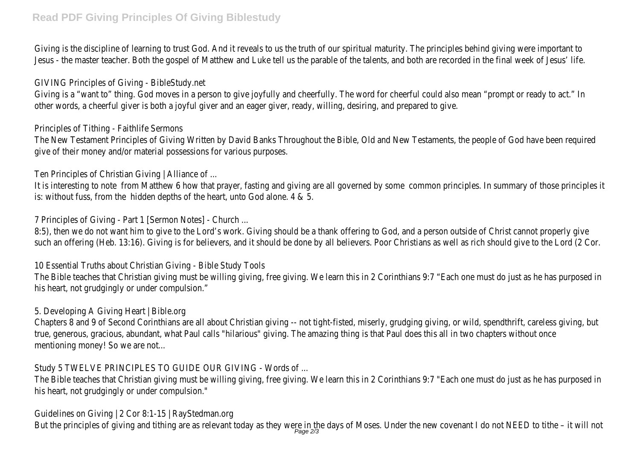# **Read PDF Giving Principles Of Giving Biblestudy**

Giving is the discipline of learning to trust God. And it reveals to us the truth of our spiritual maturity. The principles behind giving were important to Jesus - the master teacher. Both the gospel of Matthew and Luke tell us the parable of the talents, and both are recorded in the final week of Jesus' life.

#### GIVING Principles of Giving - BibleStudy.net

Giving is a "want to" thing. God moves in a person to give joyfully and cheerfully. The word for cheerful could also mean "prompt or ready to act." In other words, a cheerful giver is both a joyful giver and an eager giver, ready, willing, desiring, and prepared to give.

#### Principles of Tithing - Faithlife Sermons

The New Testament Principles of Giving Written by David Banks Throughout the Bible, Old and New Testaments, the people of God have been required give of their money and/or material possessions for various purposes.

# Ten Principles of Christian Giving | Alliance of ...

It is interesting to note from Matthew 6 how that prayer, fasting and giving are all governed by some common principles. In summary of those principles it is: without fuss, from the hidden depths of the heart, unto God alone. 4 & 5.

7 Principles of Giving - Part 1 [Sermon Notes] - Church ...

8:5), then we do not want him to give to the Lord's work. Giving should be a thank offering to God, and a person outside of Christ cannot properly give such an offering (Heb. 13:16). Giving is for believers, and it should be done by all believers. Poor Christians as well as rich should give to the Lord (2 Cor.

10 Essential Truths about Christian Giving - Bible Study Tools

The Bible teaches that Christian giving must be willing giving, free giving. We learn this in 2 Corinthians 9:7 "Each one must do just as he has purposed in his heart, not grudgingly or under compulsion."

# 5. Developing A Giving Heart | Bible.org

Chapters 8 and 9 of Second Corinthians are all about Christian giving -- not tight-fisted, miserly, grudging giving, or wild, spendthrift, careless giving, but true, generous, gracious, abundant, what Paul calls "hilarious" giving. The amazing thing is that Paul does this all in two chapters without once mentioning money! So we are not...

Study 5 TWELVE PRINCIPLES TO GUIDE OUR GIVING - Words of ...

The Bible teaches that Christian giving must be willing giving, free giving. We learn this in 2 Corinthians 9:7 "Each one must do just as he has purposed in his heart, not grudgingly or under compulsion."

Guidelines on Giving | 2 Cor 8:1-15 | RayStedman.org

But the principles of giving and tithing are as relevant today as they were in the days of Moses. Under the new covenant I do not NEED to tithe - it will not<br>Page 2/3